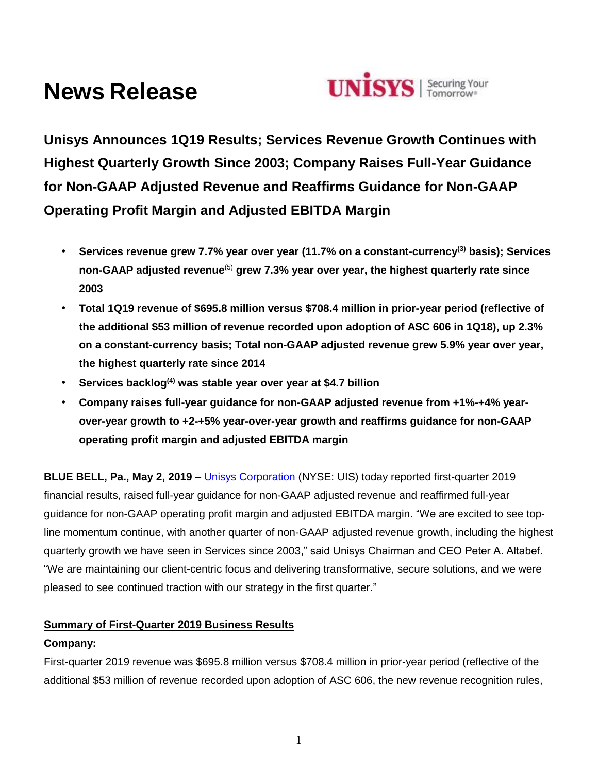# **News Release**



**Unisys Announces 1Q19 Results; Services Revenue Growth Continues with Highest Quarterly Growth Since 2003; Company Raises Full-Year Guidance for Non-GAAP Adjusted Revenue and Reaffirms Guidance for Non-GAAP Operating Profit Margin and Adjusted EBITDA Margin**

- **Services revenue grew 7.7% year over year (11.7% on a constant-currency(3) basis); Services non-GAAP adjusted revenue**(5) **grew 7.3% year over year, the highest quarterly rate since 2003**
- **Total 1Q19 revenue of \$695.8 million versus \$708.4 million in prior-year period (reflective of the additional \$53 million of revenue recorded upon adoption of ASC 606 in 1Q18), up 2.3% on a constant-currency basis; Total non-GAAP adjusted revenue grew 5.9% year over year, the highest quarterly rate since 2014**
- **Services backlog(4) was stable year over year at \$4.7 billion**
- **Company raises full-year guidance for non-GAAP adjusted revenue from +1%-+4% yearover-year growth to +2-+5% year-over-year growth and reaffirms guidance for non-GAAP operating profit margin and adjusted EBITDA margin**

**BLUE BELL, Pa., May 2, 2019** – [Unisys Corporation](http://www.unisys.com/) (NYSE: UIS) today reported first-quarter 2019 financial results, raised full-year guidance for non-GAAP adjusted revenue and reaffirmed full-year guidance for non-GAAP operating profit margin and adjusted EBITDA margin. "We are excited to see topline momentum continue, with another quarter of non-GAAP adjusted revenue growth, including the highest quarterly growth we have seen in Services since 2003," said Unisys Chairman and CEO Peter A. Altabef. "We are maintaining our client-centric focus and delivering transformative, secure solutions, and we were pleased to see continued traction with our strategy in the first quarter."

# **Summary of First-Quarter 2019 Business Results**

## **Company:**

First-quarter 2019 revenue was \$695.8 million versus \$708.4 million in prior-year period (reflective of the additional \$53 million of revenue recorded upon adoption of ASC 606, the new revenue recognition rules,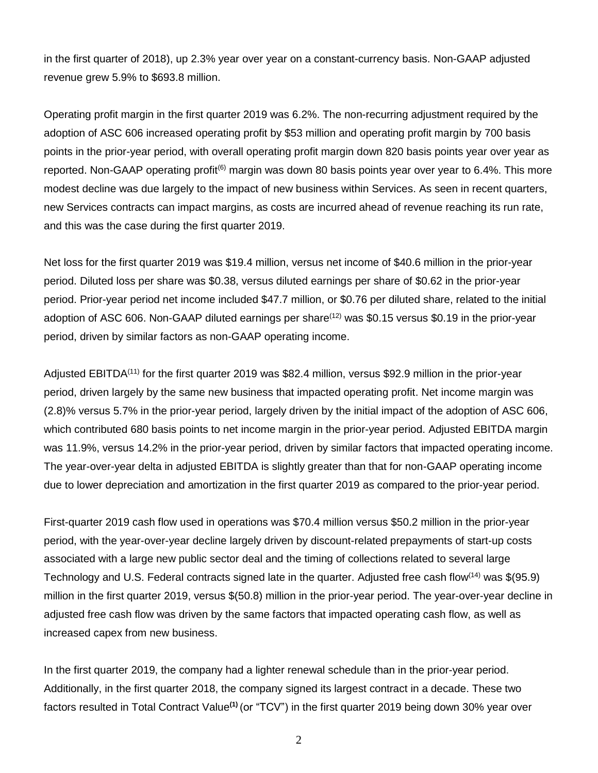in the first quarter of 2018), up 2.3% year over year on a constant-currency basis. Non-GAAP adjusted revenue grew 5.9% to \$693.8 million.

Operating profit margin in the first quarter 2019 was 6.2%. The non-recurring adjustment required by the adoption of ASC 606 increased operating profit by \$53 million and operating profit margin by 700 basis points in the prior-year period, with overall operating profit margin down 820 basis points year over year as reported. Non-GAAP operating profit<sup>(6)</sup> margin was down 80 basis points year over year to 6.4%. This more modest decline was due largely to the impact of new business within Services. As seen in recent quarters, new Services contracts can impact margins, as costs are incurred ahead of revenue reaching its run rate, and this was the case during the first quarter 2019.

Net loss for the first quarter 2019 was \$19.4 million, versus net income of \$40.6 million in the prior-year period. Diluted loss per share was \$0.38, versus diluted earnings per share of \$0.62 in the prior-year period. Prior-year period net income included \$47.7 million, or \$0.76 per diluted share, related to the initial adoption of ASC 606. Non-GAAP diluted earnings per share<sup>(12)</sup> was \$0.15 versus \$0.19 in the prior-year period, driven by similar factors as non-GAAP operating income.

Adjusted EBITDA<sup>(11)</sup> for the first quarter 2019 was \$82.4 million, versus \$92.9 million in the prior-year period, driven largely by the same new business that impacted operating profit. Net income margin was (2.8)% versus 5.7% in the prior-year period, largely driven by the initial impact of the adoption of ASC 606, which contributed 680 basis points to net income margin in the prior-year period. Adjusted EBITDA margin was 11.9%, versus 14.2% in the prior-year period, driven by similar factors that impacted operating income. The year-over-year delta in adjusted EBITDA is slightly greater than that for non-GAAP operating income due to lower depreciation and amortization in the first quarter 2019 as compared to the prior-year period.

First-quarter 2019 cash flow used in operations was \$70.4 million versus \$50.2 million in the prior-year period, with the year-over-year decline largely driven by discount-related prepayments of start-up costs associated with a large new public sector deal and the timing of collections related to several large Technology and U.S. Federal contracts signed late in the quarter. Adjusted free cash flow  $(14)$  was \$(95.9) million in the first quarter 2019, versus \$(50.8) million in the prior-year period. The year-over-year decline in adjusted free cash flow was driven by the same factors that impacted operating cash flow, as well as increased capex from new business.

In the first quarter 2019, the company had a lighter renewal schedule than in the prior-year period. Additionally, in the first quarter 2018, the company signed its largest contract in a decade. These two factors resulted in Total Contract Value**(1)** (or "TCV") in the first quarter 2019 being down 30% year over

2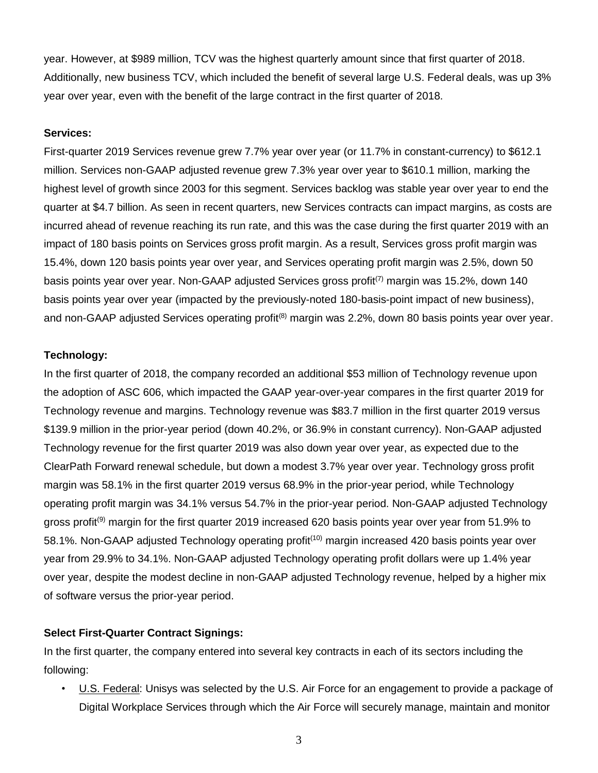year. However, at \$989 million, TCV was the highest quarterly amount since that first quarter of 2018. Additionally, new business TCV, which included the benefit of several large U.S. Federal deals, was up 3% year over year, even with the benefit of the large contract in the first quarter of 2018.

#### **Services:**

First-quarter 2019 Services revenue grew 7.7% year over year (or 11.7% in constant-currency) to \$612.1 million. Services non-GAAP adjusted revenue grew 7.3% year over year to \$610.1 million, marking the highest level of growth since 2003 for this segment. Services backlog was stable year over year to end the quarter at \$4.7 billion. As seen in recent quarters, new Services contracts can impact margins, as costs are incurred ahead of revenue reaching its run rate, and this was the case during the first quarter 2019 with an impact of 180 basis points on Services gross profit margin. As a result, Services gross profit margin was 15.4%, down 120 basis points year over year, and Services operating profit margin was 2.5%, down 50 basis points year over year. Non-GAAP adjusted Services gross profit<sup>(7)</sup> margin was 15.2%, down 140 basis points year over year (impacted by the previously-noted 180-basis-point impact of new business), and non-GAAP adjusted Services operating profit<sup>(8)</sup> margin was 2.2%, down 80 basis points year over year.

#### **Technology:**

In the first quarter of 2018, the company recorded an additional \$53 million of Technology revenue upon the adoption of ASC 606, which impacted the GAAP year-over-year compares in the first quarter 2019 for Technology revenue and margins. Technology revenue was \$83.7 million in the first quarter 2019 versus \$139.9 million in the prior-year period (down 40.2%, or 36.9% in constant currency). Non-GAAP adjusted Technology revenue for the first quarter 2019 was also down year over year, as expected due to the ClearPath Forward renewal schedule, but down a modest 3.7% year over year. Technology gross profit margin was 58.1% in the first quarter 2019 versus 68.9% in the prior-year period, while Technology operating profit margin was 34.1% versus 54.7% in the prior-year period. Non-GAAP adjusted Technology gross profit<sup>(9)</sup> margin for the first quarter 2019 increased 620 basis points year over year from 51.9% to 58.1%. Non-GAAP adjusted Technology operating profit<sup>(10)</sup> margin increased 420 basis points year over year from 29.9% to 34.1%. Non-GAAP adjusted Technology operating profit dollars were up 1.4% year over year, despite the modest decline in non-GAAP adjusted Technology revenue, helped by a higher mix of software versus the prior-year period.

#### **Select First-Quarter Contract Signings:**

In the first quarter, the company entered into several key contracts in each of its sectors including the following:

• U.S. Federal: Unisys was selected by the U.S. Air Force for an engagement to provide a package of Digital Workplace Services through which the Air Force will securely manage, maintain and monitor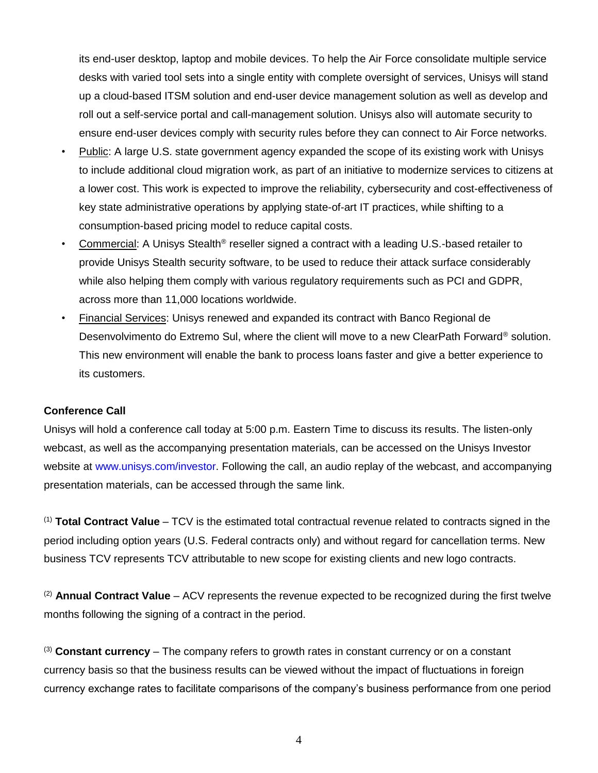its end-user desktop, laptop and mobile devices. To help the Air Force consolidate multiple service desks with varied tool sets into a single entity with complete oversight of services, Unisys will stand up a cloud-based ITSM solution and end-user device management solution as well as develop and roll out a self-service portal and call-management solution. Unisys also will automate security to ensure end-user devices comply with security rules before they can connect to Air Force networks.

- Public: A large U.S. state government agency expanded the scope of its existing work with Unisys to include additional cloud migration work, as part of an initiative to modernize services to citizens at a lower cost. This work is expected to improve the reliability, cybersecurity and cost-effectiveness of key state administrative operations by applying state-of-art IT practices, while shifting to a consumption-based pricing model to reduce capital costs.
- Commercial: A Unisys Stealth® reseller signed a contract with a leading U.S.-based retailer to provide Unisys Stealth security software, to be used to reduce their attack surface considerably while also helping them comply with various regulatory requirements such as PCI and GDPR, across more than 11,000 locations worldwide.
- Financial Services: Unisys renewed and expanded its contract with Banco Regional de Desenvolvimento do Extremo Sul, where the client will move to a new ClearPath Forward® solution. This new environment will enable the bank to process loans faster and give a better experience to its customers.

## **Conference Call**

Unisys will hold a conference call today at 5:00 p.m. Eastern Time to discuss its results. The listen-only webcast, as well as the accompanying presentation materials, can be accessed on the Unisys Investor website at [www.unisys.com/investor.](http://www.unisys.com/investor) Following the call, an audio replay of the webcast, and accompanying presentation materials, can be accessed through the same link.

(1) **Total Contract Value** – TCV is the estimated total contractual revenue related to contracts signed in the period including option years (U.S. Federal contracts only) and without regard for cancellation terms. New business TCV represents TCV attributable to new scope for existing clients and new logo contracts.

(2) **Annual Contract Value** – ACV represents the revenue expected to be recognized during the first twelve months following the signing of a contract in the period.

(3) **Constant currency** – The company refers to growth rates in constant currency or on a constant currency basis so that the business results can be viewed without the impact of fluctuations in foreign currency exchange rates to facilitate comparisons of the company's business performance from one period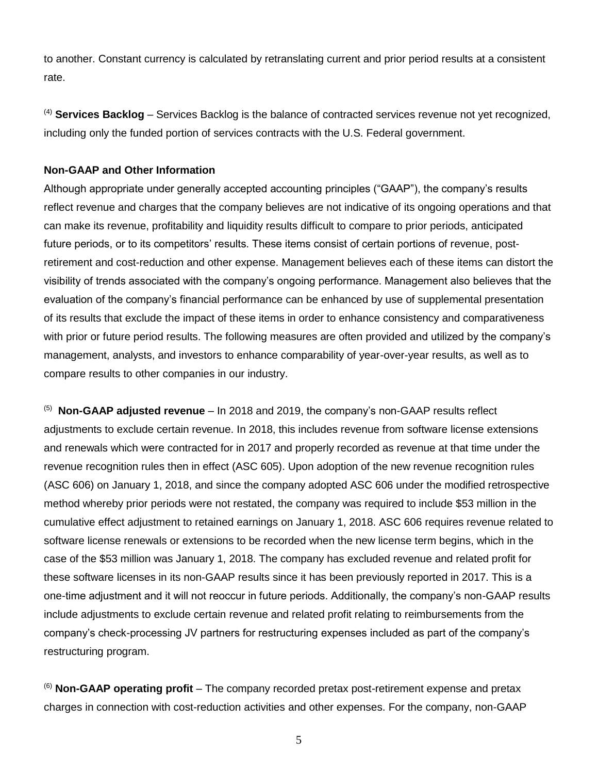to another. Constant currency is calculated by retranslating current and prior period results at a consistent rate.

(4) **Services Backlog** – Services Backlog is the balance of contracted services revenue not yet recognized, including only the funded portion of services contracts with the U.S. Federal government.

## **Non-GAAP and Other Information**

Although appropriate under generally accepted accounting principles ("GAAP"), the company's results reflect revenue and charges that the company believes are not indicative of its ongoing operations and that can make its revenue, profitability and liquidity results difficult to compare to prior periods, anticipated future periods, or to its competitors' results. These items consist of certain portions of revenue, postretirement and cost-reduction and other expense. Management believes each of these items can distort the visibility of trends associated with the company's ongoing performance. Management also believes that the evaluation of the company's financial performance can be enhanced by use of supplemental presentation of its results that exclude the impact of these items in order to enhance consistency and comparativeness with prior or future period results. The following measures are often provided and utilized by the company's management, analysts, and investors to enhance comparability of year-over-year results, as well as to compare results to other companies in our industry.

(5) **Non-GAAP adjusted revenue** – In 2018 and 2019, the company's non-GAAP results reflect adjustments to exclude certain revenue. In 2018, this includes revenue from software license extensions and renewals which were contracted for in 2017 and properly recorded as revenue at that time under the revenue recognition rules then in effect (ASC 605). Upon adoption of the new revenue recognition rules (ASC 606) on January 1, 2018, and since the company adopted ASC 606 under the modified retrospective method whereby prior periods were not restated, the company was required to include \$53 million in the cumulative effect adjustment to retained earnings on January 1, 2018. ASC 606 requires revenue related to software license renewals or extensions to be recorded when the new license term begins, which in the case of the \$53 million was January 1, 2018. The company has excluded revenue and related profit for these software licenses in its non-GAAP results since it has been previously reported in 2017. This is a one-time adjustment and it will not reoccur in future periods. Additionally, the company's non-GAAP results include adjustments to exclude certain revenue and related profit relating to reimbursements from the company's check-processing JV partners for restructuring expenses included as part of the company's restructuring program.

(6) **Non-GAAP operating profit** – The company recorded pretax post-retirement expense and pretax charges in connection with cost-reduction activities and other expenses. For the company, non-GAAP

5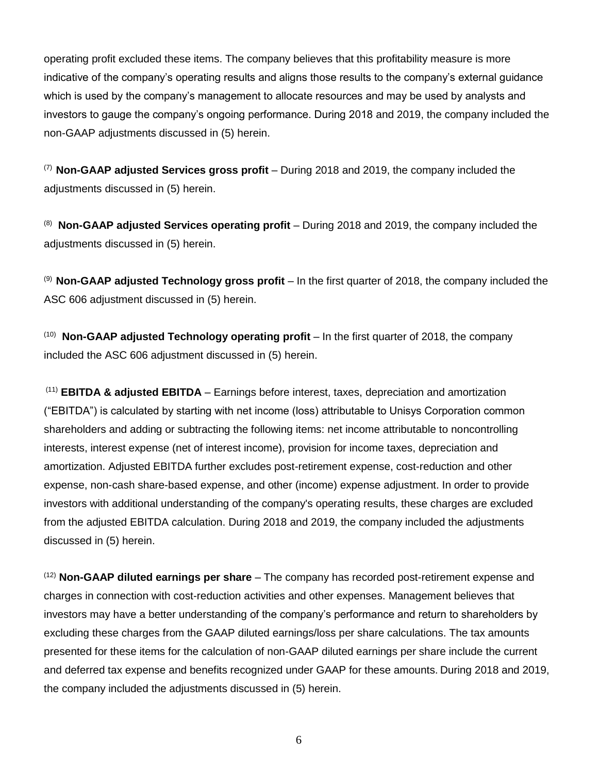operating profit excluded these items. The company believes that this profitability measure is more indicative of the company's operating results and aligns those results to the company's external guidance which is used by the company's management to allocate resources and may be used by analysts and investors to gauge the company's ongoing performance. During 2018 and 2019, the company included the non-GAAP adjustments discussed in (5) herein.

(7) **Non-GAAP adjusted Services gross profit** – During 2018 and 2019, the company included the adjustments discussed in (5) herein.

(8) **Non-GAAP adjusted Services operating profit** – During 2018 and 2019, the company included the adjustments discussed in (5) herein.

(9) **Non-GAAP adjusted Technology gross profit** – In the first quarter of 2018, the company included the ASC 606 adjustment discussed in (5) herein.

(10) **Non-GAAP adjusted Technology operating profit** – In the first quarter of 2018, the company included the ASC 606 adjustment discussed in (5) herein.

(11) **EBITDA & adjusted EBITDA** – Earnings before interest, taxes, depreciation and amortization ("EBITDA") is calculated by starting with net income (loss) attributable to Unisys Corporation common shareholders and adding or subtracting the following items: net income attributable to noncontrolling interests, interest expense (net of interest income), provision for income taxes, depreciation and amortization. Adjusted EBITDA further excludes post-retirement expense, cost-reduction and other expense, non-cash share-based expense, and other (income) expense adjustment. In order to provide investors with additional understanding of the company's operating results, these charges are excluded from the adjusted EBITDA calculation. During 2018 and 2019, the company included the adjustments discussed in (5) herein.

(12) **Non-GAAP diluted earnings per share** – The company has recorded post-retirement expense and charges in connection with cost-reduction activities and other expenses. Management believes that investors may have a better understanding of the company's performance and return to shareholders by excluding these charges from the GAAP diluted earnings/loss per share calculations. The tax amounts presented for these items for the calculation of non-GAAP diluted earnings per share include the current and deferred tax expense and benefits recognized under GAAP for these amounts. During 2018 and 2019, the company included the adjustments discussed in (5) herein.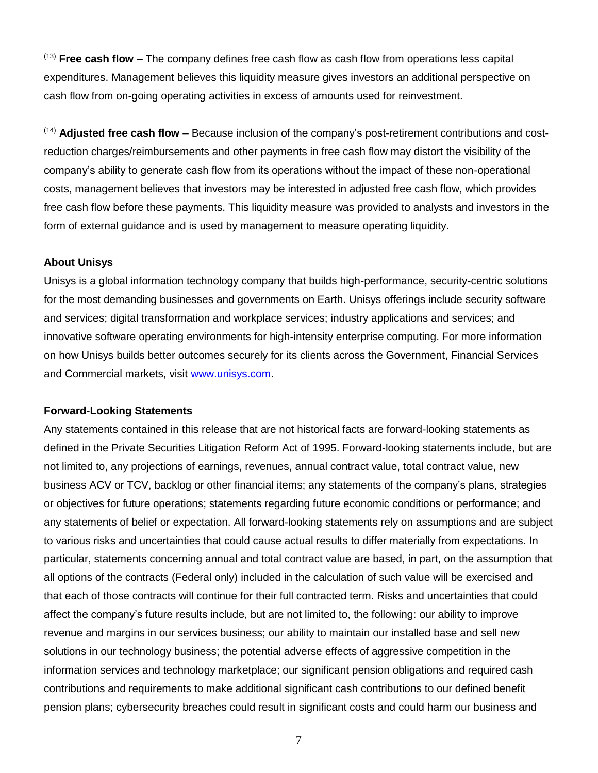(13) **Free cash flow** – The company defines free cash flow as cash flow from operations less capital expenditures. Management believes this liquidity measure gives investors an additional perspective on cash flow from on-going operating activities in excess of amounts used for reinvestment.

(14) **Adjusted free cash flow** – Because inclusion of the company's post-retirement contributions and costreduction charges/reimbursements and other payments in free cash flow may distort the visibility of the company's ability to generate cash flow from its operations without the impact of these non-operational costs, management believes that investors may be interested in adjusted free cash flow, which provides free cash flow before these payments. This liquidity measure was provided to analysts and investors in the form of external guidance and is used by management to measure operating liquidity.

#### **About Unisys**

Unisys is a global information technology company that builds high-performance, security-centric solutions for the most demanding businesses and governments on Earth. Unisys offerings include security software and services; digital transformation and workplace services; industry applications and services; and innovative software operating environments for high-intensity enterprise computing. For more information on how Unisys builds better outcomes securely for its clients across the Government, Financial Services and Commercial markets, visit [www.unisys.com.](http://www.unisys.com/)

#### **Forward-Looking Statements**

Any statements contained in this release that are not historical facts are forward-looking statements as defined in the Private Securities Litigation Reform Act of 1995. Forward-looking statements include, but are not limited to, any projections of earnings, revenues, annual contract value, total contract value, new business ACV or TCV, backlog or other financial items; any statements of the company's plans, strategies or objectives for future operations; statements regarding future economic conditions or performance; and any statements of belief or expectation. All forward-looking statements rely on assumptions and are subject to various risks and uncertainties that could cause actual results to differ materially from expectations. In particular, statements concerning annual and total contract value are based, in part, on the assumption that all options of the contracts (Federal only) included in the calculation of such value will be exercised and that each of those contracts will continue for their full contracted term. Risks and uncertainties that could affect the company's future results include, but are not limited to, the following: our ability to improve revenue and margins in our services business; our ability to maintain our installed base and sell new solutions in our technology business; the potential adverse effects of aggressive competition in the information services and technology marketplace; our significant pension obligations and required cash contributions and requirements to make additional significant cash contributions to our defined benefit pension plans; cybersecurity breaches could result in significant costs and could harm our business and

7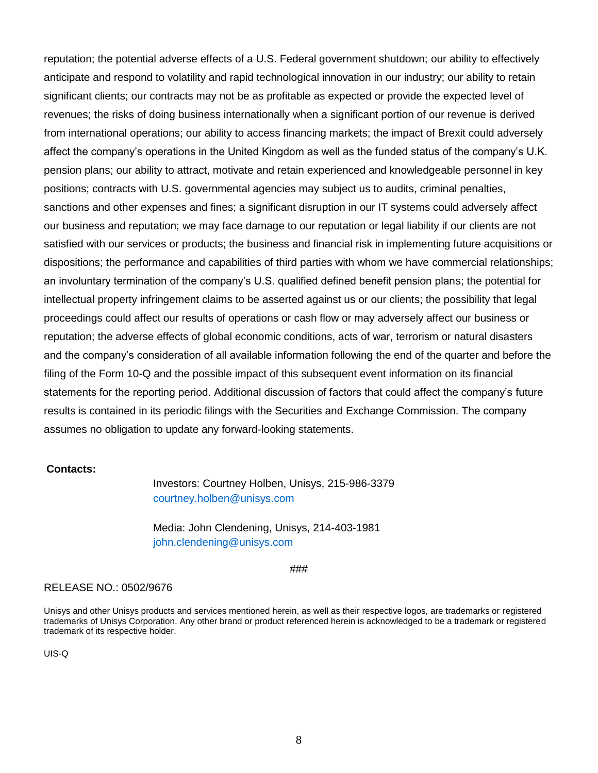reputation; the potential adverse effects of a U.S. Federal government shutdown; our ability to effectively anticipate and respond to volatility and rapid technological innovation in our industry; our ability to retain significant clients; our contracts may not be as profitable as expected or provide the expected level of revenues; the risks of doing business internationally when a significant portion of our revenue is derived from international operations; our ability to access financing markets; the impact of Brexit could adversely affect the company's operations in the United Kingdom as well as the funded status of the company's U.K. pension plans; our ability to attract, motivate and retain experienced and knowledgeable personnel in key positions; contracts with U.S. governmental agencies may subject us to audits, criminal penalties, sanctions and other expenses and fines; a significant disruption in our IT systems could adversely affect our business and reputation; we may face damage to our reputation or legal liability if our clients are not satisfied with our services or products; the business and financial risk in implementing future acquisitions or dispositions; the performance and capabilities of third parties with whom we have commercial relationships; an involuntary termination of the company's U.S. qualified defined benefit pension plans; the potential for intellectual property infringement claims to be asserted against us or our clients; the possibility that legal proceedings could affect our results of operations or cash flow or may adversely affect our business or reputation; the adverse effects of global economic conditions, acts of war, terrorism or natural disasters and the company's consideration of all available information following the end of the quarter and before the filing of the Form 10-Q and the possible impact of this subsequent event information on its financial statements for the reporting period. Additional discussion of factors that could affect the company's future results is contained in its periodic filings with the Securities and Exchange Commission. The company assumes no obligation to update any forward-looking statements.

#### **Contacts:**

Investors: Courtney Holben, Unisys, 215-986-3379 courtney.holben@unisys.com

Media: John Clendening, Unisys, 214-403-1981 john.clendening@unisys.com

###

#### RELEASE NO.: 0502/9676

Unisys and other Unisys products and services mentioned herein, as well as their respective logos, are trademarks or registered trademarks of Unisys Corporation. Any other brand or product referenced herein is acknowledged to be a trademark or registered trademark of its respective holder.

UIS-Q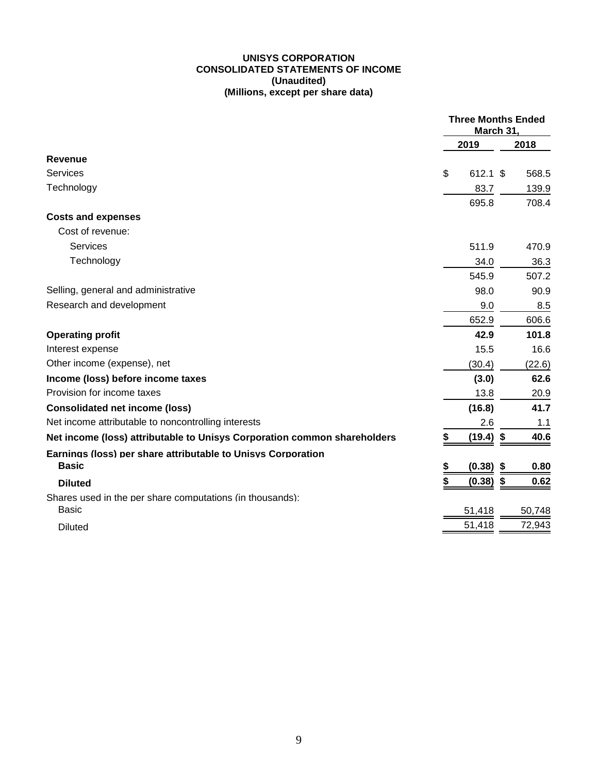#### **UNISYS CORPORATION CONSOLIDATED STATEMENTS OF INCOME (Unaudited) (Millions, except per share data)**

|                                                                          | <b>Three Months Ended</b><br>March 31, |             |    |        |
|--------------------------------------------------------------------------|----------------------------------------|-------------|----|--------|
|                                                                          |                                        | 2019        |    | 2018   |
| Revenue                                                                  |                                        |             |    |        |
| Services                                                                 | \$                                     | 612.1 \$    |    | 568.5  |
| Technology                                                               |                                        | 83.7        |    | 139.9  |
|                                                                          |                                        | 695.8       |    | 708.4  |
| <b>Costs and expenses</b>                                                |                                        |             |    |        |
| Cost of revenue:                                                         |                                        |             |    |        |
| <b>Services</b>                                                          |                                        | 511.9       |    | 470.9  |
| Technology                                                               |                                        | 34.0        |    | 36.3   |
|                                                                          |                                        | 545.9       |    | 507.2  |
| Selling, general and administrative                                      |                                        | 98.0        |    | 90.9   |
| Research and development                                                 |                                        | 9.0         |    | 8.5    |
|                                                                          |                                        | 652.9       |    | 606.6  |
| <b>Operating profit</b>                                                  |                                        | 42.9        |    | 101.8  |
| Interest expense                                                         |                                        | 15.5        |    | 16.6   |
| Other income (expense), net                                              |                                        | (30.4)      |    | (22.6) |
| Income (loss) before income taxes                                        |                                        | (3.0)       |    | 62.6   |
| Provision for income taxes                                               |                                        | 13.8        |    | 20.9   |
| <b>Consolidated net income (loss)</b>                                    |                                        | (16.8)      |    | 41.7   |
| Net income attributable to noncontrolling interests                      |                                        | 2.6         |    | 1.1    |
| Net income (loss) attributable to Unisys Corporation common shareholders | \$                                     | $(19.4)$ \$ |    | 40.6   |
| Earnings (loss) per share attributable to Unisys Corporation             |                                        |             |    |        |
| <b>Basic</b>                                                             | \$                                     | (0.38)      | \$ | 0.80   |
| <b>Diluted</b>                                                           | \$                                     | (0.38)      | \$ | 0.62   |
| Shares used in the per share computations (in thousands):                |                                        |             |    |        |
| <b>Basic</b>                                                             |                                        | 51,418      |    | 50,748 |
| <b>Diluted</b>                                                           |                                        | 51,418      |    | 72,943 |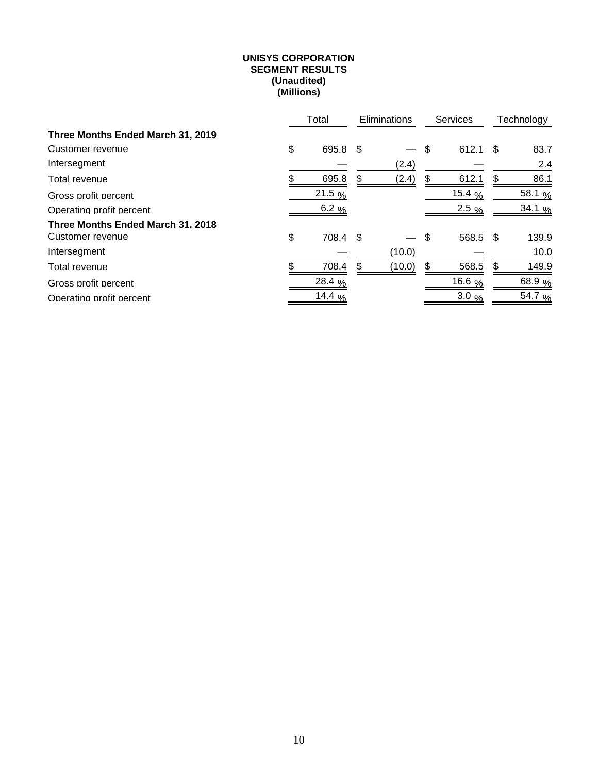#### **UNISYS CORPORATION SEGMENT RESULTS (Unaudited) (Millions)**

|                                   | Total              | Eliminations |        |    | Services         |    | Technology         |
|-----------------------------------|--------------------|--------------|--------|----|------------------|----|--------------------|
| Three Months Ended March 31, 2019 |                    |              |        |    |                  |    |                    |
| Customer revenue                  | \$<br>695.8 \$     |              |        | \$ | $612.1$ \$       |    | 83.7               |
| Intersegment                      |                    |              | (2.4)  |    |                  |    | 2.4                |
| Total revenue                     | 695.8              | S            | (2.4)  |    | 612.1            | S  | 86.1               |
| Gross profit percent              | $21.5\%$           |              |        |    | 15.4 $%$         |    | 58.1 %             |
| Operating profit percent          | 6.2 %              |              |        |    | $2.5\%$          |    | 34.1 $\frac{9}{6}$ |
| Three Months Ended March 31, 2018 |                    |              |        |    |                  |    |                    |
| Customer revenue                  | \$<br>708.4 \$     |              |        | \$ | 568.5 \$         |    | 139.9              |
| Intersegment                      |                    |              | (10.0) |    |                  |    | 10.0               |
| Total revenue                     | 708.4              | \$.          | (10.0) | S  | 568.5            | \$ | 149.9              |
| Gross profit percent              | 28.4 %             |              |        |    | 16.6 $%$         |    | 68.9%              |
| Operating profit percent          | 14.4 $\frac{9}{6}$ |              |        |    | $3.0\frac{9}{6}$ |    | 54.7 %             |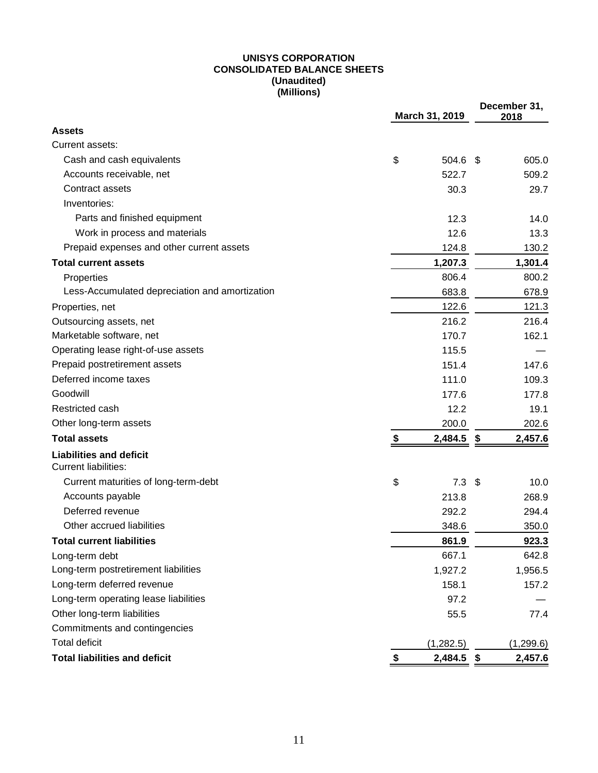#### **UNISYS CORPORATION CONSOLIDATED BALANCE SHEETS (Unaudited) (Millions)**

|                                                               | March 31, 2019         |     | December 31,<br>2018 |
|---------------------------------------------------------------|------------------------|-----|----------------------|
| <b>Assets</b>                                                 |                        |     |                      |
| Current assets:                                               |                        |     |                      |
| Cash and cash equivalents                                     | \$<br>504.6 \$         |     | 605.0                |
| Accounts receivable, net                                      | 522.7                  |     | 509.2                |
| Contract assets                                               | 30.3                   |     | 29.7                 |
| Inventories:                                                  |                        |     |                      |
| Parts and finished equipment                                  | 12.3                   |     | 14.0                 |
| Work in process and materials                                 | 12.6                   |     | 13.3                 |
| Prepaid expenses and other current assets                     | 124.8                  |     | 130.2                |
| <b>Total current assets</b>                                   | 1,207.3                |     | 1,301.4              |
| Properties                                                    | 806.4                  |     | 800.2                |
| Less-Accumulated depreciation and amortization                | 683.8                  |     | 678.9                |
| Properties, net                                               | 122.6                  |     | 121.3                |
| Outsourcing assets, net                                       | 216.2                  |     | 216.4                |
| Marketable software, net                                      | 170.7                  |     | 162.1                |
| Operating lease right-of-use assets                           | 115.5                  |     |                      |
| Prepaid postretirement assets                                 | 151.4                  |     | 147.6                |
| Deferred income taxes                                         | 111.0                  |     | 109.3                |
| Goodwill                                                      | 177.6                  |     | 177.8                |
| Restricted cash                                               | 12.2                   |     | 19.1                 |
| Other long-term assets                                        | 200.0                  |     | 202.6                |
| <b>Total assets</b>                                           | \$<br>2,484.5          | -\$ | 2,457.6              |
| <b>Liabilities and deficit</b><br><b>Current liabilities:</b> |                        |     |                      |
| Current maturities of long-term-debt                          | \$<br>7.3 <sup>5</sup> |     | 10.0                 |
| Accounts payable                                              | 213.8                  |     | 268.9                |
| Deferred revenue                                              | 292.2                  |     | 294.4                |
| Other accrued liabilities                                     | 348.6                  |     | 350.0                |
| <b>Total current liabilities</b>                              | 861.9                  |     | 923.3                |
| Long-term debt                                                | 667.1                  |     | 642.8                |
| Long-term postretirement liabilities                          | 1,927.2                |     | 1,956.5              |
| Long-term deferred revenue                                    | 158.1                  |     | 157.2                |
| Long-term operating lease liabilities                         | 97.2                   |     |                      |
| Other long-term liabilities                                   | 55.5                   |     | 77.4                 |
| Commitments and contingencies                                 |                        |     |                      |
| <b>Total deficit</b>                                          | (1,282.5)              |     | (1, 299.6)           |
| <b>Total liabilities and deficit</b>                          | \$<br>2,484.5          | \$  | 2,457.6              |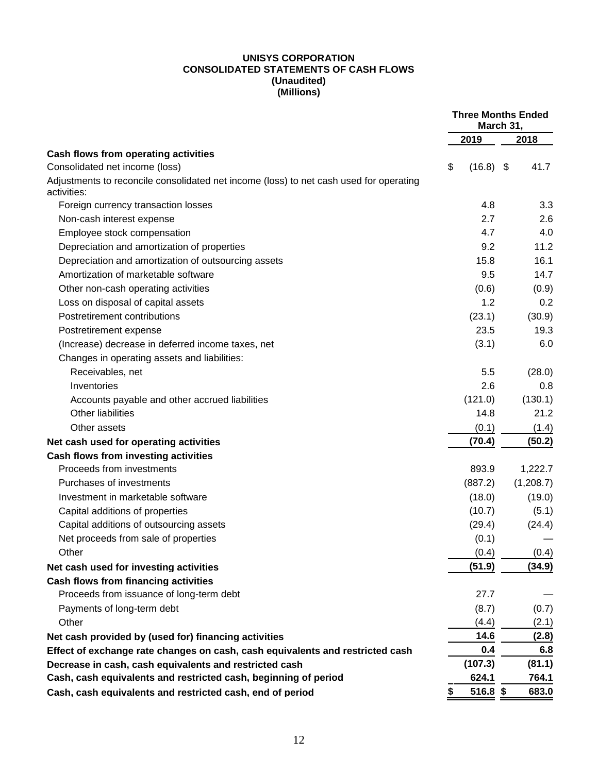#### **UNISYS CORPORATION CONSOLIDATED STATEMENTS OF CASH FLOWS (Unaudited) (Millions)**

|                                                                                                       | <b>Three Months Ended</b><br>March 31, |             |  |           |
|-------------------------------------------------------------------------------------------------------|----------------------------------------|-------------|--|-----------|
|                                                                                                       |                                        | 2019        |  | 2018      |
| Cash flows from operating activities                                                                  |                                        |             |  |           |
| Consolidated net income (loss)                                                                        | \$                                     | $(16.8)$ \$ |  | 41.7      |
| Adjustments to reconcile consolidated net income (loss) to net cash used for operating<br>activities: |                                        |             |  |           |
| Foreign currency transaction losses                                                                   |                                        | 4.8         |  | 3.3       |
| Non-cash interest expense                                                                             |                                        | 2.7         |  | 2.6       |
| Employee stock compensation                                                                           |                                        | 4.7         |  | 4.0       |
| Depreciation and amortization of properties                                                           |                                        | 9.2         |  | 11.2      |
| Depreciation and amortization of outsourcing assets                                                   |                                        | 15.8        |  | 16.1      |
| Amortization of marketable software                                                                   |                                        | 9.5         |  | 14.7      |
| Other non-cash operating activities                                                                   |                                        | (0.6)       |  | (0.9)     |
| Loss on disposal of capital assets                                                                    |                                        | 1.2         |  | 0.2       |
| Postretirement contributions                                                                          |                                        | (23.1)      |  | (30.9)    |
| Postretirement expense                                                                                |                                        | 23.5        |  | 19.3      |
| (Increase) decrease in deferred income taxes, net                                                     |                                        | (3.1)       |  | 6.0       |
| Changes in operating assets and liabilities:                                                          |                                        |             |  |           |
| Receivables, net                                                                                      |                                        | 5.5         |  | (28.0)    |
| Inventories                                                                                           |                                        | 2.6         |  | 0.8       |
| Accounts payable and other accrued liabilities                                                        |                                        | (121.0)     |  | (130.1)   |
| Other liabilities                                                                                     |                                        | 14.8        |  | 21.2      |
| Other assets                                                                                          |                                        | (0.1)       |  | (1.4)     |
| Net cash used for operating activities                                                                |                                        | (70.4)      |  | (50.2)    |
| <b>Cash flows from investing activities</b>                                                           |                                        |             |  |           |
| Proceeds from investments                                                                             |                                        | 893.9       |  | 1,222.7   |
| Purchases of investments                                                                              |                                        | (887.2)     |  | (1,208.7) |
| Investment in marketable software                                                                     |                                        | (18.0)      |  | (19.0)    |
| Capital additions of properties                                                                       |                                        | (10.7)      |  | (5.1)     |
| Capital additions of outsourcing assets                                                               |                                        | (29.4)      |  | (24.4)    |
| Net proceeds from sale of properties                                                                  |                                        | (0.1)       |  |           |
| Other                                                                                                 |                                        | (0.4)       |  | (0.4)     |
| Net cash used for investing activities                                                                |                                        | (51.9)      |  | (34.9)    |
| <b>Cash flows from financing activities</b>                                                           |                                        |             |  |           |
| Proceeds from issuance of long-term debt                                                              |                                        | 27.7        |  |           |
| Payments of long-term debt                                                                            |                                        | (8.7)       |  | (0.7)     |
| Other                                                                                                 |                                        | (4.4)       |  | (2.1)     |
| Net cash provided by (used for) financing activities                                                  |                                        | 14.6        |  | (2.8)     |
| Effect of exchange rate changes on cash, cash equivalents and restricted cash                         |                                        | 0.4         |  | 6.8       |
| Decrease in cash, cash equivalents and restricted cash                                                |                                        | (107.3)     |  | (81.1)    |
| Cash, cash equivalents and restricted cash, beginning of period                                       |                                        | 624.1       |  | 764.1     |
| Cash, cash equivalents and restricted cash, end of period                                             |                                        | 516.8 \$    |  | 683.0     |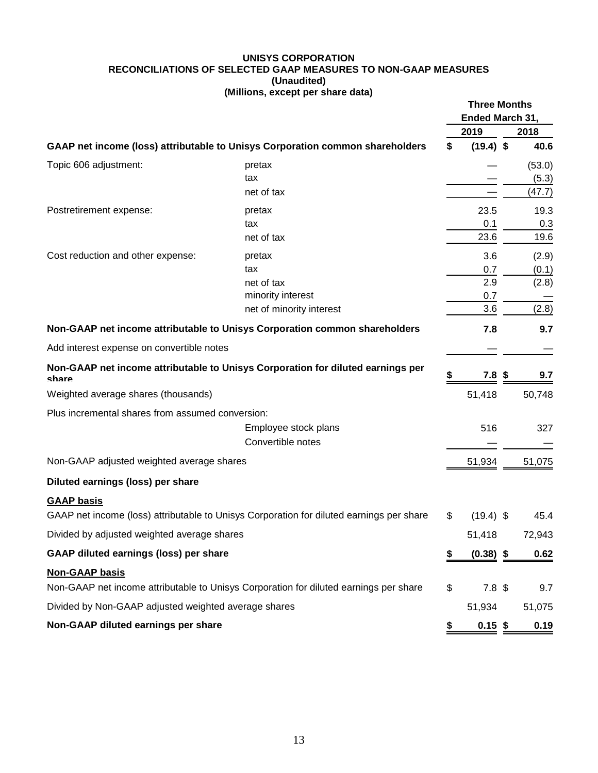#### **UNISYS CORPORATION RECONCILIATIONS OF SELECTED GAAP MEASURES TO NON-GAAP MEASURES (Unaudited) (Millions, except per share data)**

|                                                      |                                                                                          | <b>Three Months</b><br>Ended March 31, |                  |     |        |
|------------------------------------------------------|------------------------------------------------------------------------------------------|----------------------------------------|------------------|-----|--------|
|                                                      |                                                                                          |                                        | 2019             |     | 2018   |
|                                                      | GAAP net income (loss) attributable to Unisys Corporation common shareholders            | \$                                     | $(19.4)$ \$      |     | 40.6   |
| Topic 606 adjustment:                                | pretax                                                                                   |                                        |                  |     | (53.0) |
|                                                      | tax                                                                                      |                                        |                  |     | (5.3)  |
|                                                      | net of tax                                                                               |                                        |                  |     | (47.7) |
| Postretirement expense:                              | pretax                                                                                   |                                        | 23.5             |     | 19.3   |
|                                                      | tax                                                                                      |                                        | 0.1              |     | 0.3    |
|                                                      | net of tax                                                                               |                                        | 23.6             |     | 19.6   |
| Cost reduction and other expense:                    | pretax                                                                                   |                                        | 3.6              |     | (2.9)  |
|                                                      | tax                                                                                      |                                        | 0.7              |     | (0.1)  |
|                                                      | net of tax                                                                               |                                        | 2.9              |     | (2.8)  |
|                                                      | minority interest                                                                        |                                        | 0.7              |     |        |
|                                                      | net of minority interest                                                                 |                                        | 3.6              |     | (2.8)  |
|                                                      | Non-GAAP net income attributable to Unisys Corporation common shareholders               |                                        | 7.8              |     | 9.7    |
| Add interest expense on convertible notes            |                                                                                          |                                        |                  |     |        |
| share                                                | Non-GAAP net income attributable to Unisys Corporation for diluted earnings per          |                                        | 7.8              | -\$ | 9.7    |
| Weighted average shares (thousands)                  |                                                                                          |                                        | 51,418           |     | 50,748 |
| Plus incremental shares from assumed conversion:     |                                                                                          |                                        |                  |     |        |
|                                                      | Employee stock plans                                                                     |                                        | 516              |     | 327    |
|                                                      | Convertible notes                                                                        |                                        |                  |     |        |
| Non-GAAP adjusted weighted average shares            |                                                                                          |                                        | 51,934           |     | 51,075 |
| Diluted earnings (loss) per share                    |                                                                                          |                                        |                  |     |        |
| <b>GAAP basis</b>                                    |                                                                                          |                                        |                  |     |        |
|                                                      | GAAP net income (loss) attributable to Unisys Corporation for diluted earnings per share | \$                                     | $(19.4)$ \$      |     | 45.4   |
| Divided by adjusted weighted average shares          |                                                                                          |                                        | 51,418           |     | 72,943 |
| GAAP diluted earnings (loss) per share               |                                                                                          |                                        | $(0.38)$ \$      |     | 0.62   |
| <b>Non-GAAP basis</b>                                |                                                                                          |                                        |                  |     |        |
|                                                      | Non-GAAP net income attributable to Unisys Corporation for diluted earnings per share    | \$                                     | 7.8 <sup>°</sup> |     | 9.7    |
| Divided by Non-GAAP adjusted weighted average shares |                                                                                          |                                        | 51,934           |     | 51,075 |
| Non-GAAP diluted earnings per share                  |                                                                                          | S                                      | $0.15$ \$        |     | 0.19   |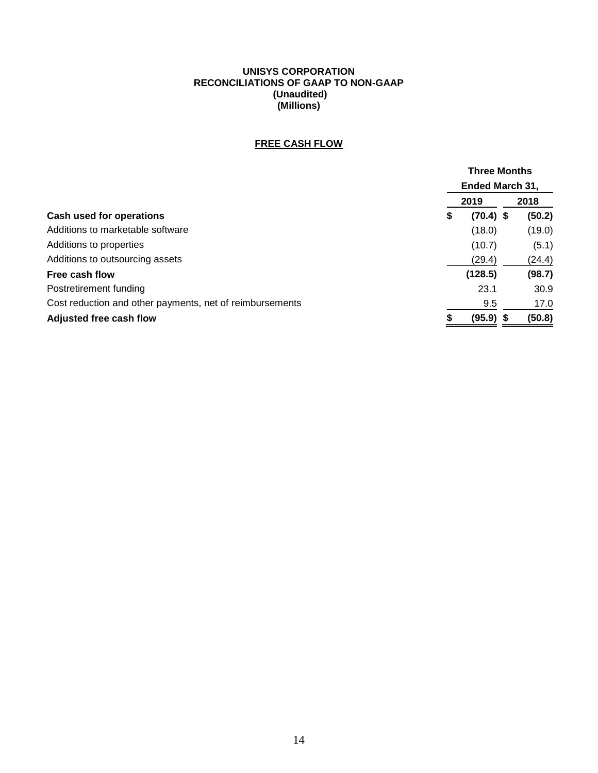#### **UNISYS CORPORATION RECONCILIATIONS OF GAAP TO NON-GAAP (Unaudited) (Millions)**

# **FREE CASH FLOW**

|                                                          | <b>Three Months</b><br><b>Ended March 31,</b> |             |  |        |
|----------------------------------------------------------|-----------------------------------------------|-------------|--|--------|
|                                                          |                                               |             |  |        |
|                                                          |                                               | 2019        |  | 2018   |
| Cash used for operations                                 | \$                                            | $(70.4)$ \$ |  | (50.2) |
| Additions to marketable software                         |                                               | (18.0)      |  | (19.0) |
| Additions to properties                                  |                                               | (10.7)      |  | (5.1)  |
| Additions to outsourcing assets                          |                                               | (29.4)      |  | (24.4) |
| Free cash flow                                           |                                               | (128.5)     |  | (98.7) |
| Postretirement funding                                   |                                               | 23.1        |  | 30.9   |
| Cost reduction and other payments, net of reimbursements |                                               | 9.5         |  | 17.0   |
| Adjusted free cash flow                                  |                                               | (95.9)      |  | (50.8) |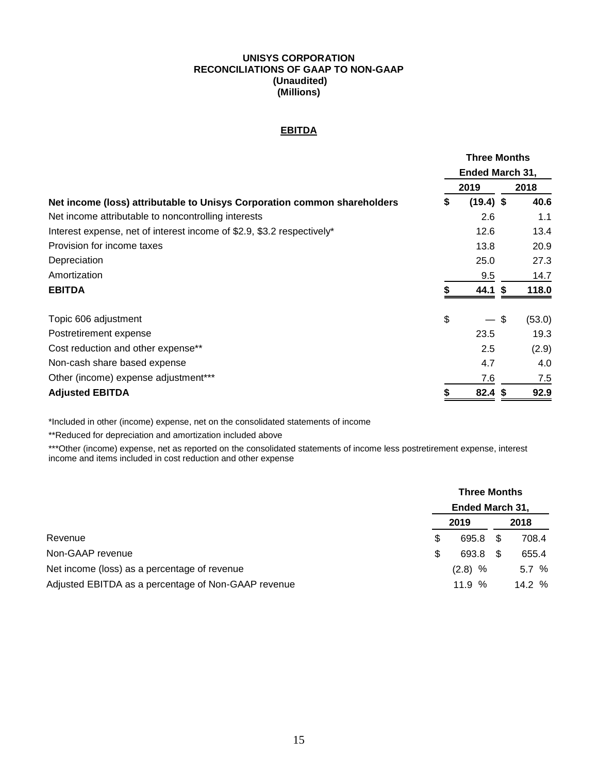#### **UNISYS CORPORATION RECONCILIATIONS OF GAAP TO NON-GAAP (Unaudited) (Millions)**

## **EBITDA**

| <b>Three Months</b><br>Ended March 31, |                                |        |
|----------------------------------------|--------------------------------|--------|
|                                        |                                |        |
| \$                                     | $(19.4)$ \$                    | 40.6   |
|                                        | 2.6                            | 1.1    |
|                                        | 12.6                           | 13.4   |
|                                        | 13.8                           | 20.9   |
|                                        | 25.0                           | 27.3   |
|                                        | 9.5                            | 14.7   |
|                                        | 44.1 \$                        | 118.0  |
| \$                                     | \$<br>$\overline{\phantom{0}}$ | (53.0) |
|                                        | 23.5                           | 19.3   |
|                                        | 2.5                            | (2.9)  |
|                                        | 4.7                            | 4.0    |
|                                        | 7.6                            | 7.5    |
|                                        | 82.4<br>-S                     | 92.9   |
|                                        |                                | 2019   |

\*Included in other (income) expense, net on the consolidated statements of income

\*\*Reduced for depreciation and amortization included above

\*\*\*Other (income) expense, net as reported on the consolidated statements of income less postretirement expense, interest income and items included in cost reduction and other expense

|                                                     |     | <b>Three Months</b>    |  |        |  |  |
|-----------------------------------------------------|-----|------------------------|--|--------|--|--|
|                                                     |     | <b>Ended March 31,</b> |  |        |  |  |
|                                                     |     | 2019                   |  | 2018   |  |  |
| Revenue                                             | S   | 695.8                  |  | 708.4  |  |  |
| Non-GAAP revenue                                    | \$. | 693.8                  |  | 655.4  |  |  |
| Net income (loss) as a percentage of revenue        |     | $(2.8)$ %              |  | 5.7%   |  |  |
| Adjusted EBITDA as a percentage of Non-GAAP revenue |     | 11.9%                  |  | 14.2 % |  |  |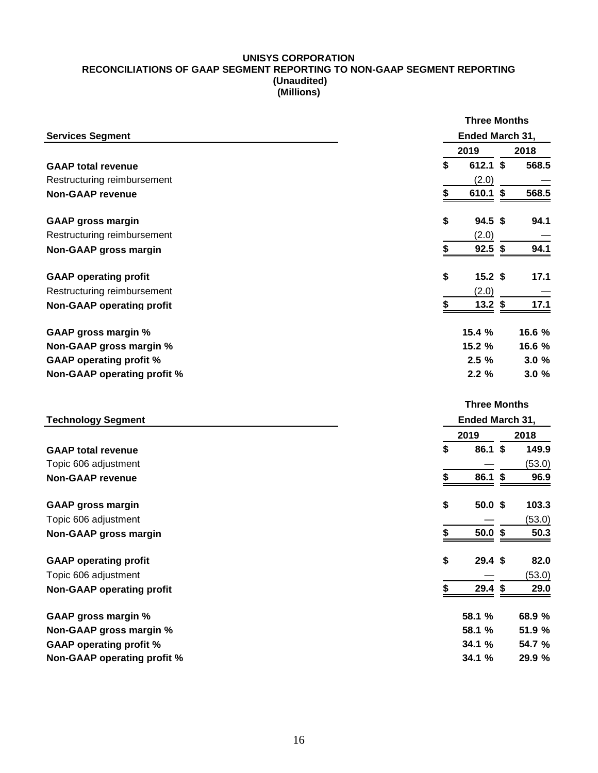#### **UNISYS CORPORATION RECONCILIATIONS OF GAAP SEGMENT REPORTING TO NON-GAAP SEGMENT REPORTING (Unaudited) (Millions)**

|                                    | <b>Three Months</b>     |        |
|------------------------------------|-------------------------|--------|
| <b>Services Segment</b>            | Ended March 31,         |        |
|                                    | 2019                    | 2018   |
| <b>GAAP total revenue</b>          | \$<br>$612.1$ \$        | 568.5  |
| Restructuring reimbursement        | (2.0)                   |        |
| <b>Non-GAAP revenue</b>            | \$<br>610.1 \$          | 568.5  |
| <b>GAAP gross margin</b>           | \$<br>$94.5$ \$         | 94.1   |
| Restructuring reimbursement        | (2.0)                   |        |
| Non-GAAP gross margin              | $92.5$ \$<br>\$         | 94.1   |
| <b>GAAP operating profit</b>       | \$<br>15.2 <sup>5</sup> | 17.1   |
| Restructuring reimbursement        | (2.0)                   |        |
| <b>Non-GAAP operating profit</b>   | \$<br>$13.2$ \$         | 17.1   |
| <b>GAAP gross margin %</b>         | 15.4 %                  | 16.6 % |
| Non-GAAP gross margin %            | 15.2 %                  | 16.6 % |
| <b>GAAP operating profit %</b>     | 2.5%                    | 3.0%   |
| <b>Non-GAAP operating profit %</b> | 2.2%                    | 3.0%   |
|                                    | <b>Three Months</b>     |        |
| <b>Technology Segment</b>          | Ended March 31,         |        |
|                                    | 2019                    | 2018   |
| <b>GAAP total revenue</b>          | \$<br>86.1 \$           | 149.9  |
| Topic 606 adjustment               |                         | (53.0) |
| <b>Non-GAAP revenue</b>            | \$<br>86.1 \$           | 96.9   |
| <b>GAAP gross margin</b>           | \$<br>50.0 <sup>5</sup> | 103.3  |
| Topic 606 adjustment               |                         | (53.0) |
| Non-GAAP gross margin              | \$<br>50.0~\$           | 50.3   |
| <b>GAAP operating profit</b>       | \$<br>$29.4$ \$         | 82.0   |
| Topic 606 adjustment               |                         | (53.0) |
| <b>Non-GAAP operating profit</b>   | $29.4$ \$<br>\$         | 29.0   |
| <b>GAAP gross margin %</b>         | 58.1 %                  | 68.9 % |
| Non-GAAP gross margin %            | 58.1 %                  | 51.9 % |
| <b>GAAP operating profit %</b>     | 34.1 %                  | 54.7 % |
| Non-GAAP operating profit %        | 34.1 %                  | 29.9 % |